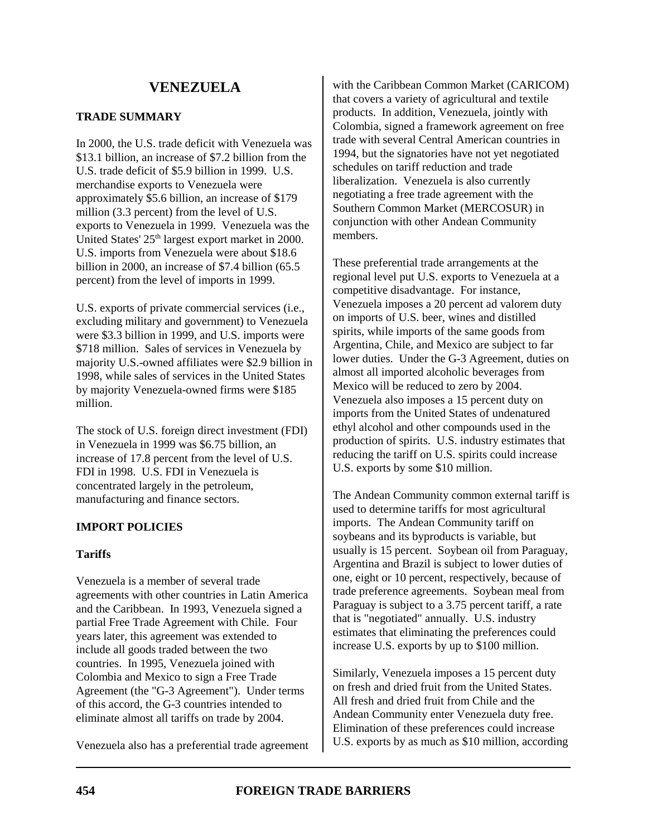# **TRADE SUMMARY**

In 2000, the U.S. trade deficit with Venezuela was \$13.1 billion, an increase of \$7.2 billion from the U.S. trade deficit of \$5.9 billion in 1999. U.S. merchandise exports to Venezuela were approximately \$5.6 billion, an increase of \$179 million (3.3 percent) from the level of U.S. exports to Venezuela in 1999. Venezuela was the United States' 25<sup>th</sup> largest export market in 2000. U.S. imports from Venezuela were about \$18.6 billion in 2000, an increase of \$7.4 billion (65.5 percent) from the level of imports in 1999.

U.S. exports of private commercial services (i.e., excluding military and government) to Venezuela were \$3.3 billion in 1999, and U.S. imports were \$718 million. Sales of services in Venezuela by majority U.S.-owned affiliates were \$2.9 billion in 1998, while sales of services in the United States by majority Venezuela-owned firms were \$185 million.

The stock of U.S. foreign direct investment (FDI) in Venezuela in 1999 was \$6.75 billion, an increase of 17.8 percent from the level of U.S. FDI in 1998. U.S. FDI in Venezuela is concentrated largely in the petroleum, manufacturing and finance sectors.

# **IMPORT POLICIES**

# **Tariffs**

Venezuela is a member of several trade agreements with other countries in Latin America and the Caribbean. In 1993, Venezuela signed a partial Free Trade Agreement with Chile. Four years later, this agreement was extended to include all goods traded between the two countries. In 1995, Venezuela joined with Colombia and Mexico to sign a Free Trade Agreement (the "G-3 Agreement"). Under terms of this accord, the G-3 countries intended to eliminate almost all tariffs on trade by 2004.

Venezuela also has a preferential trade agreement

with the Caribbean Common Market (CARICOM) that covers a variety of agricultural and textile products. In addition, Venezuela, jointly with Colombia, signed a framework agreement on free trade with several Central American countries in 1994, but the signatories have not yet negotiated schedules on tariff reduction and trade liberalization. Venezuela is also currently negotiating a free trade agreement with the Southern Common Market (MERCOSUR) in conjunction with other Andean Community members.

These preferential trade arrangements at the regional level put U.S. exports to Venezuela at a competitive disadvantage. For instance, Venezuela imposes a 20 percent ad valorem duty on imports of U.S. beer, wines and distilled spirits, while imports of the same goods from Argentina, Chile, and Mexico are subject to far lower duties. Under the G-3 Agreement, duties on almost all imported alcoholic beverages from Mexico will be reduced to zero by 2004. Venezuela also imposes a 15 percent duty on imports from the United States of undenatured ethyl alcohol and other compounds used in the production of spirits. U.S. industry estimates that reducing the tariff on U.S. spirits could increase U.S. exports by some \$10 million.

The Andean Community common external tariff is used to determine tariffs for most agricultural imports. The Andean Community tariff on soybeans and its byproducts is variable, but usually is 15 percent. Soybean oil from Paraguay, Argentina and Brazil is subject to lower duties of one, eight or 10 percent, respectively, because of trade preference agreements. Soybean meal from Paraguay is subject to a 3.75 percent tariff, a rate that is "negotiated" annually. U.S. industry estimates that eliminating the preferences could increase U.S. exports by up to \$100 million.

Similarly, Venezuela imposes a 15 percent duty on fresh and dried fruit from the United States. All fresh and dried fruit from Chile and the Andean Community enter Venezuela duty free. Elimination of these preferences could increase U.S. exports by as much as \$10 million, according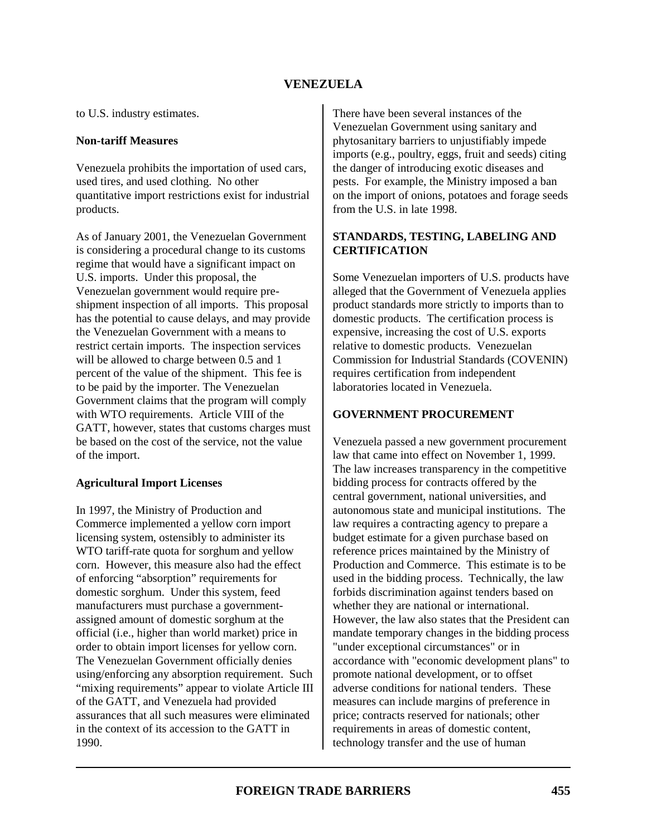to U.S. industry estimates.

#### **Non-tariff Measures**

Venezuela prohibits the importation of used cars, used tires, and used clothing. No other quantitative import restrictions exist for industrial products.

As of January 2001, the Venezuelan Government is considering a procedural change to its customs regime that would have a significant impact on U.S. imports. Under this proposal, the Venezuelan government would require preshipment inspection of all imports. This proposal has the potential to cause delays, and may provide the Venezuelan Government with a means to restrict certain imports. The inspection services will be allowed to charge between 0.5 and 1 percent of the value of the shipment. This fee is to be paid by the importer. The Venezuelan Government claims that the program will comply with WTO requirements. Article VIII of the GATT, however, states that customs charges must be based on the cost of the service, not the value of the import.

#### **Agricultural Import Licenses**

In 1997, the Ministry of Production and Commerce implemented a yellow corn import licensing system, ostensibly to administer its WTO tariff-rate quota for sorghum and yellow corn. However, this measure also had the effect of enforcing "absorption" requirements for domestic sorghum. Under this system, feed manufacturers must purchase a governmentassigned amount of domestic sorghum at the official (i.e., higher than world market) price in order to obtain import licenses for yellow corn. The Venezuelan Government officially denies using/enforcing any absorption requirement. Such "mixing requirements" appear to violate Article III of the GATT, and Venezuela had provided assurances that all such measures were eliminated in the context of its accession to the GATT in 1990.

There have been several instances of the Venezuelan Government using sanitary and phytosanitary barriers to unjustifiably impede imports (e.g., poultry, eggs, fruit and seeds) citing the danger of introducing exotic diseases and pests. For example, the Ministry imposed a ban on the import of onions, potatoes and forage seeds from the U.S. in late 1998.

# **STANDARDS, TESTING, LABELING AND CERTIFICATION**

Some Venezuelan importers of U.S. products have alleged that the Government of Venezuela applies product standards more strictly to imports than to domestic products. The certification process is expensive, increasing the cost of U.S. exports relative to domestic products. Venezuelan Commission for Industrial Standards (COVENIN) requires certification from independent laboratories located in Venezuela.

#### **GOVERNMENT PROCUREMENT**

Venezuela passed a new government procurement law that came into effect on November 1, 1999. The law increases transparency in the competitive bidding process for contracts offered by the central government, national universities, and autonomous state and municipal institutions. The law requires a contracting agency to prepare a budget estimate for a given purchase based on reference prices maintained by the Ministry of Production and Commerce. This estimate is to be used in the bidding process. Technically, the law forbids discrimination against tenders based on whether they are national or international. However, the law also states that the President can mandate temporary changes in the bidding process "under exceptional circumstances" or in accordance with "economic development plans" to promote national development, or to offset adverse conditions for national tenders. These measures can include margins of preference in price; contracts reserved for nationals; other requirements in areas of domestic content, technology transfer and the use of human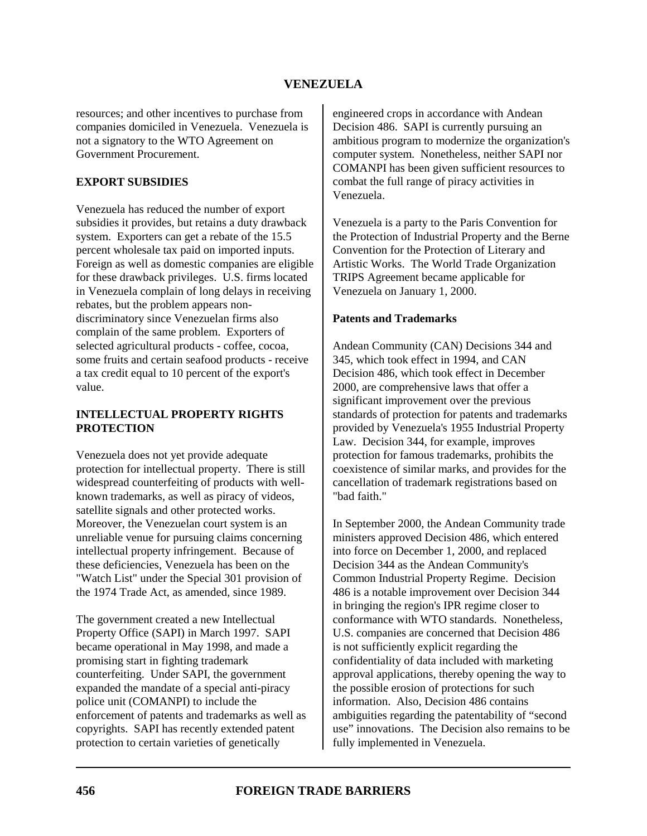resources; and other incentives to purchase from companies domiciled in Venezuela. Venezuela is not a signatory to the WTO Agreement on Government Procurement.

## **EXPORT SUBSIDIES**

Venezuela has reduced the number of export subsidies it provides, but retains a duty drawback system. Exporters can get a rebate of the 15.5 percent wholesale tax paid on imported inputs. Foreign as well as domestic companies are eligible for these drawback privileges. U.S. firms located in Venezuela complain of long delays in receiving rebates, but the problem appears nondiscriminatory since Venezuelan firms also complain of the same problem. Exporters of selected agricultural products - coffee, cocoa, some fruits and certain seafood products - receive a tax credit equal to 10 percent of the export's value.

## **INTELLECTUAL PROPERTY RIGHTS PROTECTION**

Venezuela does not yet provide adequate protection for intellectual property. There is still widespread counterfeiting of products with wellknown trademarks, as well as piracy of videos, satellite signals and other protected works. Moreover, the Venezuelan court system is an unreliable venue for pursuing claims concerning intellectual property infringement. Because of these deficiencies, Venezuela has been on the "Watch List" under the Special 301 provision of the 1974 Trade Act, as amended, since 1989.

The government created a new Intellectual Property Office (SAPI) in March 1997. SAPI became operational in May 1998, and made a promising start in fighting trademark counterfeiting. Under SAPI, the government expanded the mandate of a special anti-piracy police unit (COMANPI) to include the enforcement of patents and trademarks as well as copyrights. SAPI has recently extended patent protection to certain varieties of genetically

engineered crops in accordance with Andean Decision 486. SAPI is currently pursuing an ambitious program to modernize the organization's computer system. Nonetheless, neither SAPI nor COMANPI has been given sufficient resources to combat the full range of piracy activities in Venezuela.

Venezuela is a party to the Paris Convention for the Protection of Industrial Property and the Berne Convention for the Protection of Literary and Artistic Works. The World Trade Organization TRIPS Agreement became applicable for Venezuela on January 1, 2000.

### **Patents and Trademarks**

Andean Community (CAN) Decisions 344 and 345, which took effect in 1994, and CAN Decision 486, which took effect in December 2000, are comprehensive laws that offer a significant improvement over the previous standards of protection for patents and trademarks provided by Venezuela's 1955 Industrial Property Law. Decision 344, for example, improves protection for famous trademarks, prohibits the coexistence of similar marks, and provides for the cancellation of trademark registrations based on "bad faith."

In September 2000, the Andean Community trade ministers approved Decision 486, which entered into force on December 1, 2000, and replaced Decision 344 as the Andean Community's Common Industrial Property Regime. Decision 486 is a notable improvement over Decision 344 in bringing the region's IPR regime closer to conformance with WTO standards. Nonetheless, U.S. companies are concerned that Decision 486 is not sufficiently explicit regarding the confidentiality of data included with marketing approval applications, thereby opening the way to the possible erosion of protections for such information. Also, Decision 486 contains ambiguities regarding the patentability of "second use" innovations. The Decision also remains to be fully implemented in Venezuela.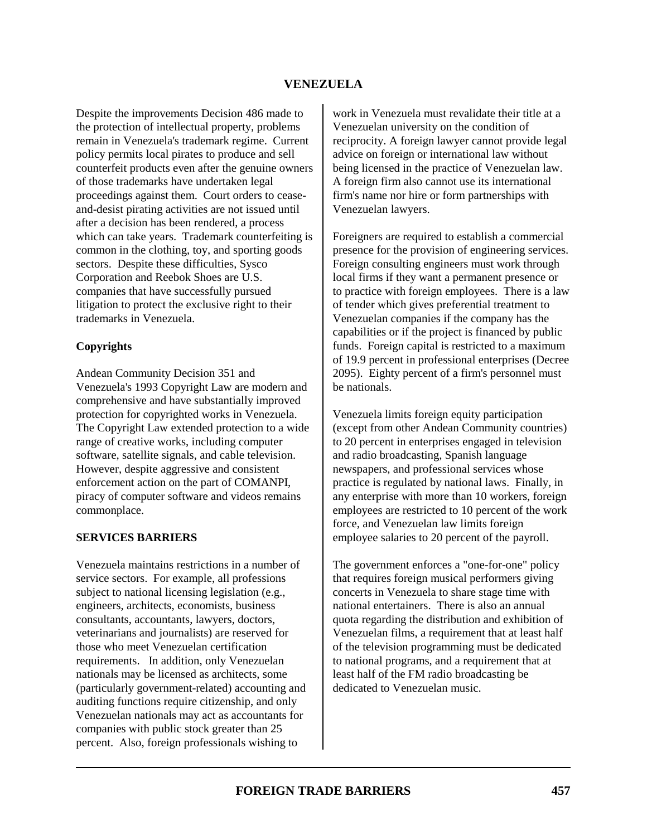Despite the improvements Decision 486 made to the protection of intellectual property, problems remain in Venezuela's trademark regime. Current policy permits local pirates to produce and sell counterfeit products even after the genuine owners of those trademarks have undertaken legal proceedings against them. Court orders to ceaseand-desist pirating activities are not issued until after a decision has been rendered, a process which can take years. Trademark counterfeiting is common in the clothing, toy, and sporting goods sectors. Despite these difficulties, Sysco Corporation and Reebok Shoes are U.S. companies that have successfully pursued litigation to protect the exclusive right to their trademarks in Venezuela.

### **Copyrights**

Andean Community Decision 351 and Venezuela's 1993 Copyright Law are modern and comprehensive and have substantially improved protection for copyrighted works in Venezuela. The Copyright Law extended protection to a wide range of creative works, including computer software, satellite signals, and cable television. However, despite aggressive and consistent enforcement action on the part of COMANPI, piracy of computer software and videos remains commonplace.

#### **SERVICES BARRIERS**

Venezuela maintains restrictions in a number of service sectors. For example, all professions subject to national licensing legislation (e.g., engineers, architects, economists, business consultants, accountants, lawyers, doctors, veterinarians and journalists) are reserved for those who meet Venezuelan certification requirements. In addition, only Venezuelan nationals may be licensed as architects, some (particularly government-related) accounting and auditing functions require citizenship, and only Venezuelan nationals may act as accountants for companies with public stock greater than 25 percent. Also, foreign professionals wishing to

work in Venezuela must revalidate their title at a Venezuelan university on the condition of reciprocity. A foreign lawyer cannot provide legal advice on foreign or international law without being licensed in the practice of Venezuelan law. A foreign firm also cannot use its international firm's name nor hire or form partnerships with Venezuelan lawyers.

Foreigners are required to establish a commercial presence for the provision of engineering services. Foreign consulting engineers must work through local firms if they want a permanent presence or to practice with foreign employees. There is a law of tender which gives preferential treatment to Venezuelan companies if the company has the capabilities or if the project is financed by public funds. Foreign capital is restricted to a maximum of 19.9 percent in professional enterprises (Decree 2095). Eighty percent of a firm's personnel must be nationals.

Venezuela limits foreign equity participation (except from other Andean Community countries) to 20 percent in enterprises engaged in television and radio broadcasting, Spanish language newspapers, and professional services whose practice is regulated by national laws. Finally, in any enterprise with more than 10 workers, foreign employees are restricted to 10 percent of the work force, and Venezuelan law limits foreign employee salaries to 20 percent of the payroll.

The government enforces a "one-for-one" policy that requires foreign musical performers giving concerts in Venezuela to share stage time with national entertainers. There is also an annual quota regarding the distribution and exhibition of Venezuelan films, a requirement that at least half of the television programming must be dedicated to national programs, and a requirement that at least half of the FM radio broadcasting be dedicated to Venezuelan music.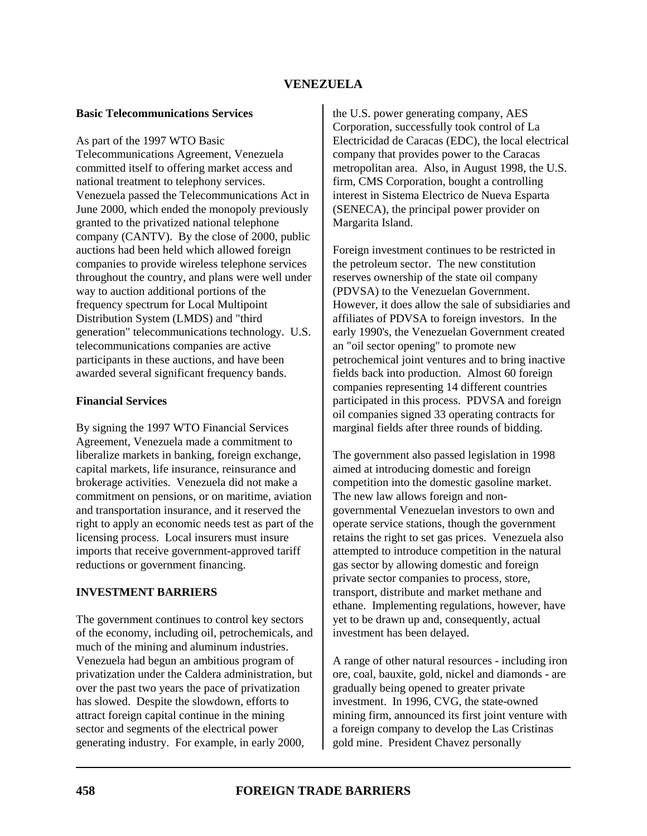#### **Basic Telecommunications Services**

As part of the 1997 WTO Basic Telecommunications Agreement, Venezuela committed itself to offering market access and national treatment to telephony services. Venezuela passed the Telecommunications Act in June 2000, which ended the monopoly previously granted to the privatized national telephone company (CANTV). By the close of 2000, public auctions had been held which allowed foreign companies to provide wireless telephone services throughout the country, and plans were well under way to auction additional portions of the frequency spectrum for Local Multipoint Distribution System (LMDS) and "third generation" telecommunications technology. U.S. telecommunications companies are active participants in these auctions, and have been awarded several significant frequency bands.

#### **Financial Services**

By signing the 1997 WTO Financial Services Agreement, Venezuela made a commitment to liberalize markets in banking, foreign exchange, capital markets, life insurance, reinsurance and brokerage activities. Venezuela did not make a commitment on pensions, or on maritime, aviation and transportation insurance, and it reserved the right to apply an economic needs test as part of the licensing process. Local insurers must insure imports that receive government-approved tariff reductions or government financing.

# **INVESTMENT BARRIERS**

The government continues to control key sectors of the economy, including oil, petrochemicals, and much of the mining and aluminum industries. Venezuela had begun an ambitious program of privatization under the Caldera administration, but over the past two years the pace of privatization has slowed. Despite the slowdown, efforts to attract foreign capital continue in the mining sector and segments of the electrical power generating industry. For example, in early 2000,

the U.S. power generating company, AES Corporation, successfully took control of La Electricidad de Caracas (EDC), the local electrical company that provides power to the Caracas metropolitan area. Also, in August 1998, the U.S. firm, CMS Corporation, bought a controlling interest in Sistema Electrico de Nueva Esparta (SENECA), the principal power provider on Margarita Island.

Foreign investment continues to be restricted in the petroleum sector. The new constitution reserves ownership of the state oil company (PDVSA) to the Venezuelan Government. However, it does allow the sale of subsidiaries and affiliates of PDVSA to foreign investors. In the early 1990's, the Venezuelan Government created an "oil sector opening" to promote new petrochemical joint ventures and to bring inactive fields back into production. Almost 60 foreign companies representing 14 different countries participated in this process. PDVSA and foreign oil companies signed 33 operating contracts for marginal fields after three rounds of bidding.

The government also passed legislation in 1998 aimed at introducing domestic and foreign competition into the domestic gasoline market. The new law allows foreign and nongovernmental Venezuelan investors to own and operate service stations, though the government retains the right to set gas prices. Venezuela also attempted to introduce competition in the natural gas sector by allowing domestic and foreign private sector companies to process, store, transport, distribute and market methane and ethane. Implementing regulations, however, have yet to be drawn up and, consequently, actual investment has been delayed.

A range of other natural resources - including iron ore, coal, bauxite, gold, nickel and diamonds - are gradually being opened to greater private investment. In 1996, CVG, the state-owned mining firm, announced its first joint venture with a foreign company to develop the Las Cristinas gold mine. President Chavez personally